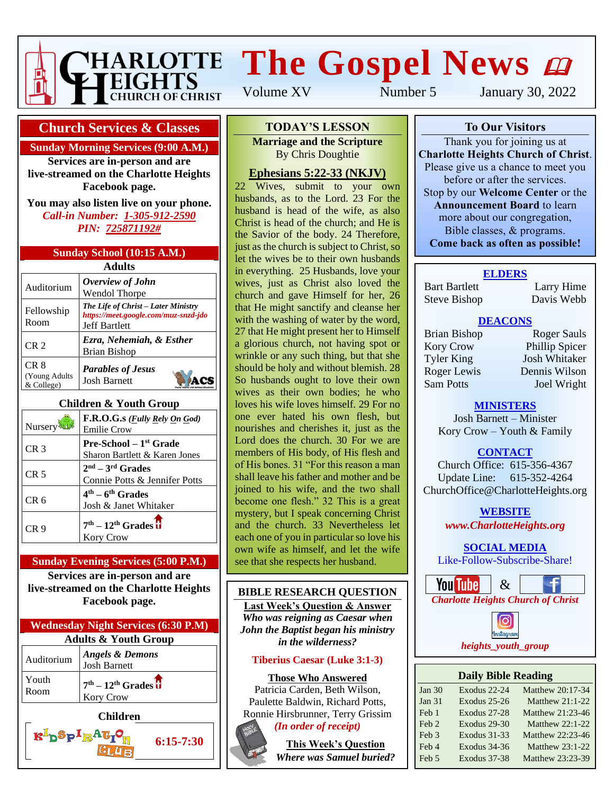

# **The Gospel News**

Volume XV Number 5 January 30, 2022

#### **Church Services & Classes**

#### **Sunday Morning Services (9:00 A.M.)**

**Services are in-person and are live-streamed on the Charlotte Heights Facebook page.**

**You may also listen live on your phone.** *Call-in Number: 1-305-912-2590 PIN: 725871192#*

#### **Sunday School (10:15 A.M.)**

| Adults                               |                                                                                                     |  |  |  |  |  |
|--------------------------------------|-----------------------------------------------------------------------------------------------------|--|--|--|--|--|
| Auditorium                           | Overview of John<br><b>Wendol Thorpe</b>                                                            |  |  |  |  |  |
| Fellowship<br>Room                   | The Life of Christ – Later Ministry<br>https://meet.google.com/muz-snzd-jdo<br><b>Jeff Bartlett</b> |  |  |  |  |  |
| CR <sub>2</sub>                      | Ezra, Nehemiah, & Esther<br>Brian Bishop                                                            |  |  |  |  |  |
| CR 8<br>(Young Adults)<br>& College) | <b>Parables of Jesus</b><br><b>Josh Barnett</b>                                                     |  |  |  |  |  |

#### **Children & Youth Group**

| Nursery         | F.R.O.G.s ( <i>Fully Rely On God</i> )<br><b>Emilie Crow</b>     |
|-----------------|------------------------------------------------------------------|
| CR <sub>3</sub> | <b>Pre-School</b> – $1st$ Grade<br>Sharon Bartlett & Karen Jones |
| CR <sub>5</sub> | $2nd - 3rd$ Grades<br>Connie Potts & Jennifer Potts              |
| CR 6            | $4th - 6th$ Grades<br>Josh & Janet Whitaker                      |
| CR 9            | $7th - 12th$ Grades $\overline{\textbf{U}}$<br><b>Kory Crow</b>  |

#### **Sunday Evening Services (5:00 P.M.) Services are in-person and are**

**live-streamed on the Charlotte Heights Facebook page.**

| <b>Wednesday Night Services (6:30 P.M)</b> |                                                   |  |  |  |  |
|--------------------------------------------|---------------------------------------------------|--|--|--|--|
| <b>Adults &amp; Youth Group</b>            |                                                   |  |  |  |  |
| Auditorium                                 | <b>Angels &amp; Demons</b><br><b>Josh Barnett</b> |  |  |  |  |
| Youth<br>Room                              | $7th - 12th$ Grades $\overline{U}$<br>Kory Crow   |  |  |  |  |
| Children                                   |                                                   |  |  |  |  |

 $\mathbf{K}^{\mathrm{I}}$ p $\mathbf{Sp}^{\mathrm{I}}$ R $\mathbf{AG}_{\mathrm{I}}$ 

#### **To Our Visitors TODAY'S LESSON Marriage and the Scripture**

**Charlotte Heights Christ**. Doughtie

## **Ephesians 5:22-33 (NKJV)**

 $\frac{22}{22}$  Wives, submit to your own zz wives, subtingular by your own<br>husbands, as to the Lord. 23 For the husband is head of the wife, as also massand is head of the whe, as also the Savior of the body. 24 Therefore, **Come back as often as possible!** just as the church is subject to Christ, so let the wives be to their own husbands in everything. 25 Husbands, love your wives, just as Christ also loved the church and gave Himself for her, 26 that He might sanctify and cleanse her with the washing of water by the word, 27 that He might present her to Himself a glorious church, not having spot or wrinkle or any such thing, but that she should be holy and without blemish. 28 So husbands ought to love their own wives as their own bodies; he who loves his wife loves himself. 29 For no one ever hated his own flesh, but nourishes and cherishes it, just as the Lord does the church. 30 For we are members of His body, of His flesh and of His bones. 31 "For this reason a man shall leave his father and mother and be joined to his wife, and the two shall become one flesh." 32 This is a great mystery, but I speak concerning Christ and the church. 33 Nevertheless let each one of you in particular so love his own wife as himself, and let the wife see that she respects her husband.

#### **BIBLE RESEARCH QUESTION**

**Last Week's Question & Answer** *Who was reigning as Caesar when John the Baptist began his ministry in the wilderness?*

#### **Tiberius Caesar (Luke 3:1-3)**

#### **Those Who Answered**

Patricia Carden, Beth Wilson, Paulette Baldwin, Richard Potts, Ronnie Hirsbrunner, Terry Grissim



**6:15-7:30**

*(In order of receipt)*

**This Week's Question** *Where was Samuel buried?*

#### **To Our Visitors**

Thank you for joining us at **Charlotte Heights Church of Christ**. Please give us a chance to meet you before or after the services. Stop by our **Welcome Center** or the **Announcement Board** to learn more about our congregation, Bible classes, & programs. **Come back as often as possible!**

#### **ELDERS**

Bart Bartlett Larry Hime Steve Bishop Davis Webb

#### **DEACONS**

Kory Crow Phillip Spicer Tyler King Josh Whitaker Roger Lewis Dennis Wilson Sam Potts Joel Wright

Brian Bishop Roger Sauls

#### **MINISTERS**

Josh Barnett – Minister Kory Crow – Youth & Family

#### **CONTACT**

Church Office: 615-356-4367 Update Line: 615-352-4264 ChurchOffice@CharlotteHeights.org

> **Media Postings** *www.CharlotteHeights.org* **WEBSITE**

# **SOCIAL MEDIA**

**COURL MEDIA** Like-Follow-Subscribe-Share!





#### **Daily Bible Reading**

| Jan $30$         | Exodus 22-24        | Matthew 20:17-34       |
|------------------|---------------------|------------------------|
| Jan $31$         | Exodus 25-26        | <b>Matthew 21:1-22</b> |
| Feb 1            | Exodus 27-28        | Matthew 21:23-46       |
| Feb <sub>2</sub> | Exodus 29-30        | Matthew $22:1-22$      |
| Feb 3            | <b>Exodus 31-33</b> | Matthew 22:23-46       |
| Feb 4            | Exodus 34-36        | Matthew $23:1-22$      |
| Feb 5            | <b>Exodus 37-38</b> | Matthew 23:23-39       |
|                  |                     |                        |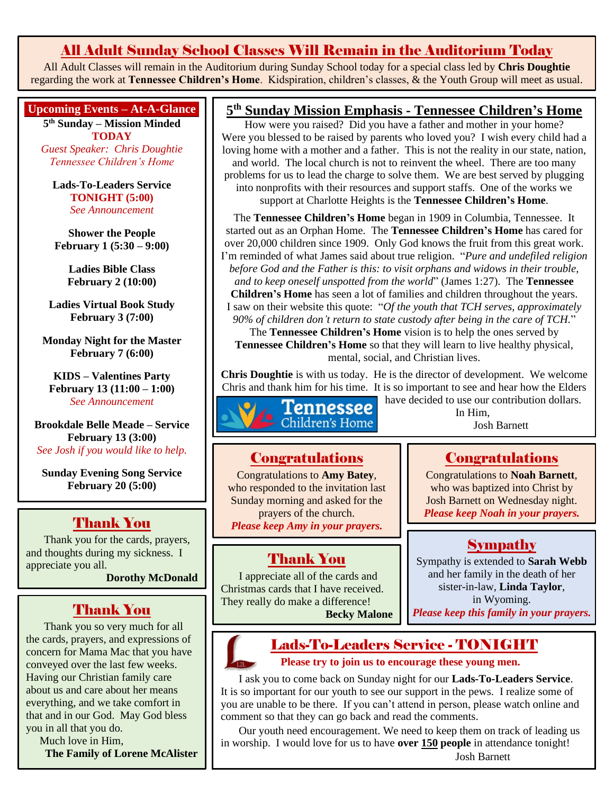## All Adult Sunday School Classes Will Remain in the Auditorium Today

All Adult Classes will remain in the Auditorium during Sunday School today for a special class led by **Chris Doughtie** regarding the work at **Tennessee Children's Home**. Kidspiration, children's classes, & the Youth Group will meet as usual.

#### **Upcoming Events – At-A-Glance**

**5 th Sunday – Mission Minded TODAY**

*Guest Speaker: Chris Doughtie Tennessee Children's Home*

**Lads-To-Leaders Service TONIGHT (5:00)** *See Announcement*

**Shower the People February 1 (5:30 – 9:00)**

> **Ladies Bible Class February 2 (10:00)**

**Ladies Virtual Book Study February 3 (7:00)**

**Monday Night for the Master February 7 (6:00)**

**KIDS – Valentines Party February 13 (11:00 – 1:00)** *See Announcement*

**Brookdale Belle Meade – Service February 13 (3:00)** *See Josh if you would like to help.*

**Sunday Evening Song Service February 20 (5:00)**

### Thank You

Thank you for the cards, prayers, and thoughts during my sickness. I appreciate you all.

**Dorothy McDonald**

## Thank You

Thank you so very much for all the cards, prayers, and expressions of concern for Mama Mac that you have conveyed over the last few weeks. Having our Christian family care about us and care about her means everything, and we take comfort in that and in our God. May God bless you in all that you do.

Much love in Him,

**The Family of Lorene McAlister**

#### **5 th Sunday Mission Emphasis - Tennessee Children's Home**

How were you raised? Did you have a father and mother in your home? Were you blessed to be raised by parents who loved you? I wish every child had a loving home with a mother and a father. This is not the reality in our state, nation, and world. The local church is not to reinvent the wheel. There are too many problems for us to lead the charge to solve them. We are best served by plugging into nonprofits with their resources and support staffs. One of the works we support at Charlotte Heights is the **Tennessee Children's Home**.

The **Tennessee Children's Home** began in 1909 in Columbia, Tennessee. It started out as an Orphan Home. The **Tennessee Children's Home** has cared for over 20,000 children since 1909. Only God knows the fruit from this great work. I'm reminded of what James said about true religion. "*Pure and undefiled religion before God and the Father is this: to visit orphans and widows in their trouble, and to keep oneself unspotted from the world*" (James 1:27). The **Tennessee Children's Home** has seen a lot of families and children throughout the years.

I saw on their website this quote: "*Of the youth that TCH serves, approximately 90% of children don't return to state custody after being in the care of TCH.*" The **Tennessee Children's Home** vision is to help the ones served by

**Tennessee Children's Home** so that they will learn to live healthy physical, mental, social, and Christian lives.

**Chris Doughtie** is with us today. He is the director of development. We welcome Chris and thank him for his time. It is so important to see and hear how the Elders



have decided to use our contribution dollars. In Him, Josh Barnett

#### **Congratulations**

Congratulations to **Amy Batey**, who responded to the invitation last Sunday morning and asked for the prayers of the church. *Please keep Amy in your prayers.*

## Thank You

I appreciate all of the cards and Christmas cards that I have received. They really do make a difference! **Becky Malone** Congratulations

Congratulations to **Noah Barnett**, who was baptized into Christ by Josh Barnett on Wednesday night. *Please keep Noah in your prayers.*

## Sympathy

Sympathy is extended to **Sarah Webb** and her family in the death of her sister-in-law, **Linda Taylor**, in Wyoming. *Please keep this family in your prayers.*



# Lads-To-Leaders Service - TONIGHT

**Please try to join us to encourage these young men.**

I ask you to come back on Sunday night for our **Lads-To-Leaders Service**. It is so important for our youth to see our support in the pews. I realize some of you are unable to be there. If you can't attend in person, please watch online and comment so that they can go back and read the comments.

Our youth need encouragement. We need to keep them on track of leading us in worship. I would love for us to have **over 150 people** in attendance tonight!

Josh Barnett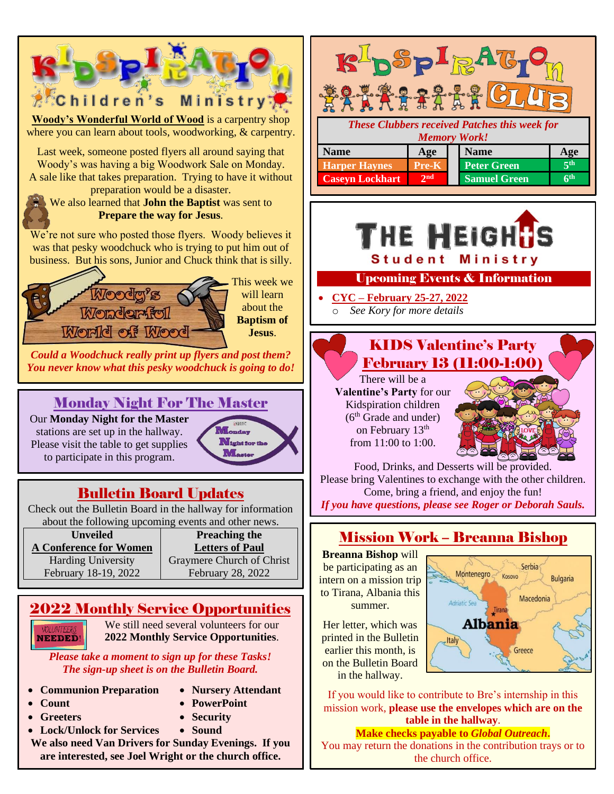